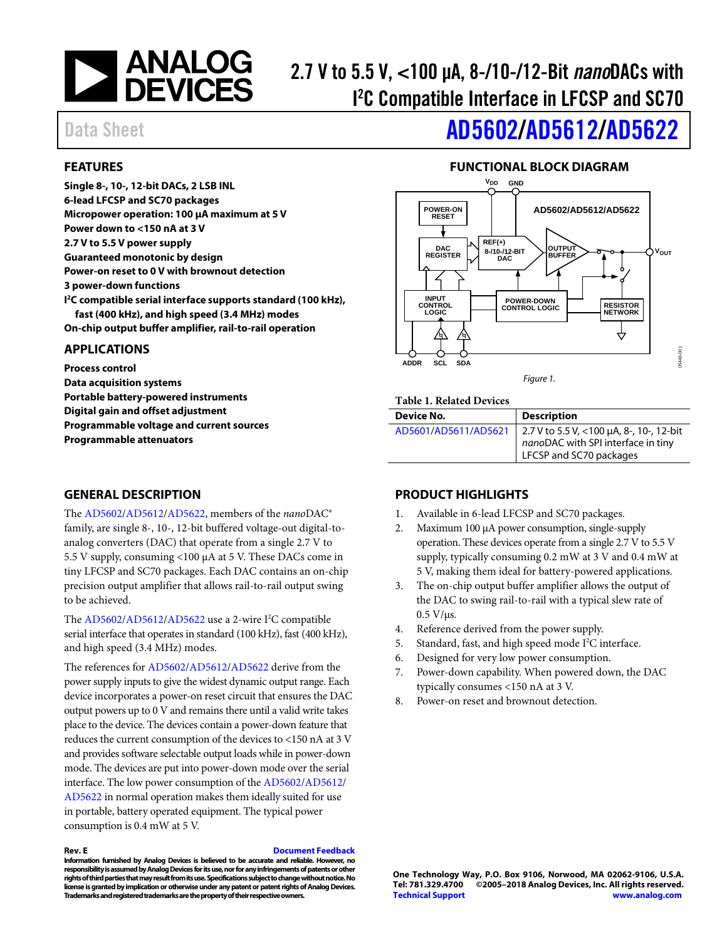

# 2.7 V to 5.5 V, <100 µA, 8-/10-/12-Bit *nano*DACs with I 2 C Compatible Interface in LFCSP and SC70

# Data Sheet **[AD5602](http://www.analog.com/ad5602?doc=AD5602_5612_5622.pdf)[/AD5612/](http://www.analog.com/ad5612?doc=AD5602_5612_5622.pdf)[AD5622](http://www.analog.com/ad5622?doc=AD5602_5612_5622.pdf)**

### <span id="page-0-0"></span>**FEATURES**

**Single 8-, 10-, 12-bit DACs, 2 LSB INL 6-lead LFCSP and SC70 packages Micropower operation: 100 µA maximum at 5 V Power down to <150 nA at 3 V 2.7 V to 5.5 V power supply Guaranteed monotonic by design Power-on reset to 0 V with brownout detection 3 power-down functions I 2C compatible serial interface supports standard (100 kHz), fast (400 kHz), and high speed (3.4 MHz) modes On-chip output buffer amplifier, rail-to-rail operation**

#### <span id="page-0-1"></span>**APPLICATIONS**

**Process control Data acquisition systems Portable battery-powered instruments Digital gain and offset adjustment Programmable voltage and current sources Programmable attenuators**

#### <span id="page-0-3"></span>**GENERAL DESCRIPTION**

The [AD5602](http://www.analog.com/ad5602?doc=AD5602_5612_5622.pdf)[/AD5612/](http://www.analog.com/ad5612?doc=AD5602_5612_5622.pdf)[AD5622,](http://www.analog.com/ad5622?doc=AD5602_5612_5622.pdf) members of the *nano*DAC® family, are single 8-, 10-, 12-bit buffered voltage-out digital-toanalog converters (DAC) that operate from a single 2.7 V to 5.5 V supply, consuming <100 µA at 5 V. These DACs come in tiny LFCSP and SC70 packages. Each DAC contains an on-chip precision output amplifier that allows rail-to-rail output swing to be achieved.

The  $AD5602/AD5612/AD5622$  $AD5602/AD5612/AD5622$  $AD5602/AD5612/AD5622$  use a 2-wire I<sup>2</sup>C compatible serial interface that operates in standard (100 kHz), fast (400 kHz), and high speed (3.4 MHz) modes.

The references fo[r AD5602/](http://www.analog.com/ad5602?doc=AD5602_5612_5622.pdf)[AD5612/](http://www.analog.com/ad5612?doc=AD5602_5612_5622.pdf)[AD5622](http://www.analog.com/ad5622?doc=AD5602_5612_5622.pdf) derive from the power supply inputs to give the widest dynamic output range. Each device incorporates a power-on reset circuit that ensures the DAC output powers up to 0 V and remains there until a valid write takes place to the device. The devices contain a power-down feature that reduces the current consumption of the devices to <150 nA at 3 V and provides software selectable output loads while in power-down mode. The devices are put into power-down mode over the serial interface. The low power consumption of the [AD5602/](http://www.analog.com/ad5602?doc=AD5602_5612_5622.pdf)[AD5612/](http://www.analog.com/ad5612?doc=AD5602_5612_5622.pdf) [AD5622](http://www.analog.com/ad5622?doc=AD5602_5612_5622.pdf) in normal operation makes them ideally suited for use in portable, battery operated equipment. The typical power consumption is 0.4 mW at 5 V.

#### **Rev. E [Document Feedback](https://form.analog.com/Form_Pages/feedback/documentfeedback.aspx?doc=AD5602_5612_5622.pdf&product=AD5602%20AD5612%20AD5622&rev=E)**

**Information furnished by Analog Devices is believed to be accurate and reliable. However, no responsibility is assumed by Analog Devices for its use, nor for any infringements of patents or other rights of third parties that may result from its use. Specifications subject to change without notice. No license is granted by implication or otherwise under any patent or patent rights of Analog Devices. Trademarks and registered trademarks are the property of their respective owners.**

#### **FUNCTIONAL BLOCK DIAGRAM**

<span id="page-0-2"></span>

*Figure 1.*

#### **Table 1. Related Devices**

| Device No.           | <b>Description</b>                                                                                        |
|----------------------|-----------------------------------------------------------------------------------------------------------|
| AD5601/AD5611/AD5621 | 2.7 V to 5.5 V, <100 μA, 8-, 10-, 12-bit<br>nanoDAC with SPI interface in tiny<br>LFCSP and SC70 packages |

#### <span id="page-0-4"></span>**PRODUCT HIGHLIGHTS**

- 1. Available in 6-lead LFCSP and SC70 packages.
- 2. Maximum 100 µA power consumption, single-supply operation. These devices operate from a single 2.7 V to 5.5 V supply, typically consuming 0.2 mW at 3 V and 0.4 mW at 5 V, making them ideal for battery-powered applications.
- 3. The on-chip output buffer amplifier allows the output of the DAC to swing rail-to-rail with a typical slew rate of  $0.5$  V/ $\mu$ s.
- 4. Reference derived from the power supply.
- 5. Standard, fast, and high speed mode I<sup>2</sup>C interface.
- 6. Designed for very low power consumption.
- 7. Power-down capability. When powered down, the DAC typically consumes <150 nA at 3 V.
- 8. Power-on reset and brownout detection.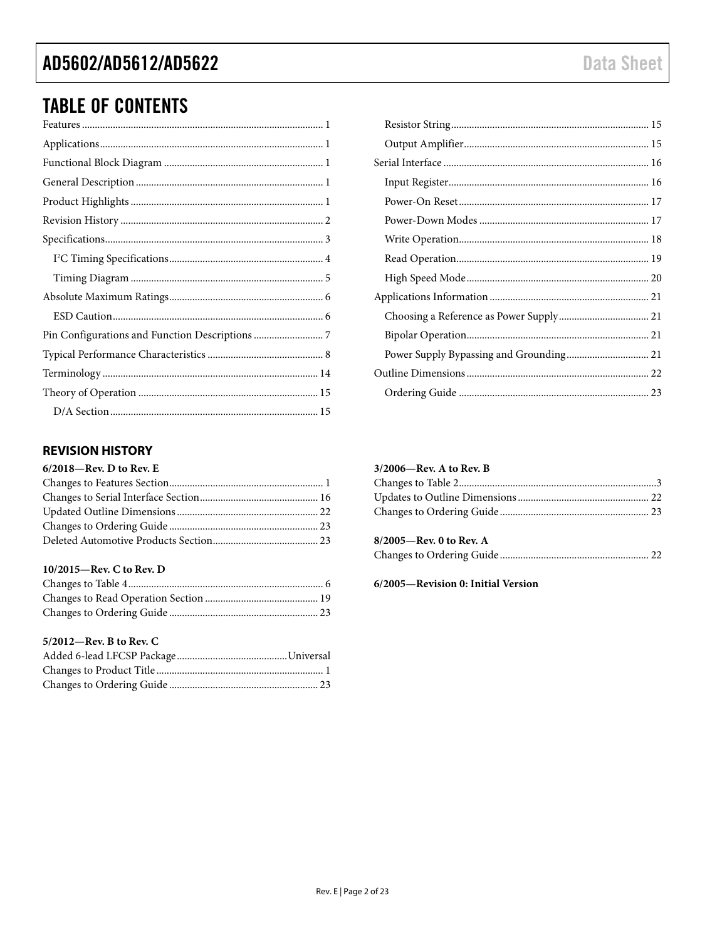### AD5602/AD5612/AD5622

## **TABLE OF CONTENTS**

### <span id="page-1-0"></span>**REVISION HISTORY**

| $6/2018$ —Rev. D to Rev. E |  |
|----------------------------|--|
|                            |  |
|                            |  |
|                            |  |
|                            |  |
|                            |  |

#### 10/2015-Rev. C to Rev. D

#### 5/2012-Rev. B to Rev. C

#### 3/2006-Rev. A to Rev. B

| $8/2005$ —Rev. 0 to Rev. A |  |
|----------------------------|--|
|                            |  |

#### 6/2005-Revision 0: Initial Version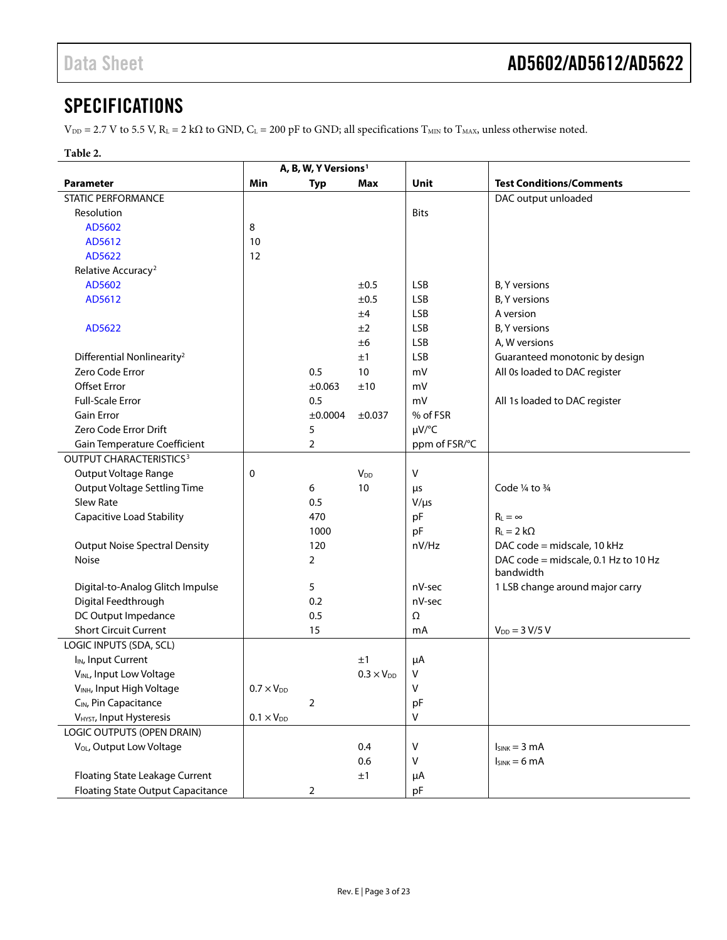### <span id="page-2-0"></span>**SPECIFICATIONS**

 $V_{\text{DD}} = 2.7 \text{ V}$  to 5.5 V,  $R_L = 2 \text{ k}\Omega$  to GND,  $C_L = 200 \text{ pF}$  to GND; all specifications  $T_{\text{MIN}}$  to  $T_{\text{MAX}}$ , unless otherwise noted.

#### **Table 2.**

| <b>Test Conditions/Comments</b><br>Min<br>Unit<br><b>Parameter</b><br><b>Typ</b><br>Max<br>DAC output unloaded<br><b>STATIC PERFORMANCE</b><br>Resolution<br><b>Bits</b> |  |
|--------------------------------------------------------------------------------------------------------------------------------------------------------------------------|--|
|                                                                                                                                                                          |  |
|                                                                                                                                                                          |  |
|                                                                                                                                                                          |  |
| 8<br>AD5602                                                                                                                                                              |  |
| AD5612<br>10                                                                                                                                                             |  |
| AD5622<br>12                                                                                                                                                             |  |
| Relative Accuracy <sup>2</sup>                                                                                                                                           |  |
| <b>LSB</b><br>AD5602<br>±0.5<br><b>B.</b> Y versions                                                                                                                     |  |
| <b>LSB</b><br>B, Y versions<br>AD5612<br>±0.5                                                                                                                            |  |
| <b>LSB</b><br>A version<br>±4                                                                                                                                            |  |
| <b>LSB</b><br>B, Y versions<br>AD5622<br>±2                                                                                                                              |  |
| <b>LSB</b><br>A, W versions<br>±6                                                                                                                                        |  |
| <b>LSB</b><br>Guaranteed monotonic by design<br>Differential Nonlinearity <sup>2</sup><br>±1                                                                             |  |
| Zero Code Error<br>0.5<br>10<br>All 0s loaded to DAC register<br>mV                                                                                                      |  |
| <b>Offset Error</b><br>±0.063<br>±10<br>mV                                                                                                                               |  |
| <b>Full-Scale Error</b><br>mV<br>0.5<br>All 1s loaded to DAC register                                                                                                    |  |
| <b>Gain Error</b><br>% of FSR<br>±0.0004<br>±0.037                                                                                                                       |  |
| Zero Code Error Drift<br>µV/°C<br>5                                                                                                                                      |  |
| Gain Temperature Coefficient<br>$\overline{2}$<br>ppm of FSR/°C                                                                                                          |  |
| OUTPUT CHARACTERISTICS <sup>3</sup>                                                                                                                                      |  |
| V<br><b>Output Voltage Range</b><br>0<br><b>V</b> <sub>DD</sub>                                                                                                          |  |
| <b>Output Voltage Settling Time</b><br>Code $\frac{1}{4}$ to $\frac{3}{4}$<br>6<br>10<br>μs                                                                              |  |
| <b>Slew Rate</b><br>0.5<br>$V/\mu s$                                                                                                                                     |  |
| <b>Capacitive Load Stability</b><br>pF<br>$R_L = \infty$<br>470                                                                                                          |  |
| pF<br>$R_L = 2 k\Omega$<br>1000                                                                                                                                          |  |
| DAC code = midscale, 10 kHz<br><b>Output Noise Spectral Density</b><br>120<br>nV/Hz                                                                                      |  |
| $\overline{2}$<br>DAC code = midscale, 0.1 Hz to 10 Hz<br>Noise                                                                                                          |  |
| bandwidth                                                                                                                                                                |  |
| Digital-to-Analog Glitch Impulse<br>5<br>1 LSB change around major carry<br>nV-sec                                                                                       |  |
| Digital Feedthrough<br>0.2<br>nV-sec                                                                                                                                     |  |
| DC Output Impedance<br>0.5<br>Ω                                                                                                                                          |  |
| <b>Short Circuit Current</b><br>15<br>$V_{DD} = 3 V/5 V$<br>mA                                                                                                           |  |
| LOGIC INPUTS (SDA, SCL)                                                                                                                                                  |  |
| I <sub>IN</sub> , Input Current<br>±1<br>μA                                                                                                                              |  |
| VINL, Input Low Voltage<br>٧<br>$0.3 \times V_{DD}$                                                                                                                      |  |
| V<br>V <sub>INH</sub> , Input High Voltage<br>$0.7 \times V_{DD}$                                                                                                        |  |
| CIN, Pin Capacitance<br>$\overline{2}$<br>pF                                                                                                                             |  |
| V<br>V <sub>HYST</sub> , Input Hysteresis<br>$0.1 \times V_{DD}$                                                                                                         |  |
| LOGIC OUTPUTS (OPEN DRAIN)                                                                                                                                               |  |
| V <sub>OL</sub> , Output Low Voltage<br>0.4<br>V<br>$I_{SINK} = 3 mA$                                                                                                    |  |
| 0.6<br>V<br>$I_{SINK} = 6 mA$                                                                                                                                            |  |
| Floating State Leakage Current<br>±1<br>μA                                                                                                                               |  |
| <b>Floating State Output Capacitance</b><br>$\overline{2}$<br>pF                                                                                                         |  |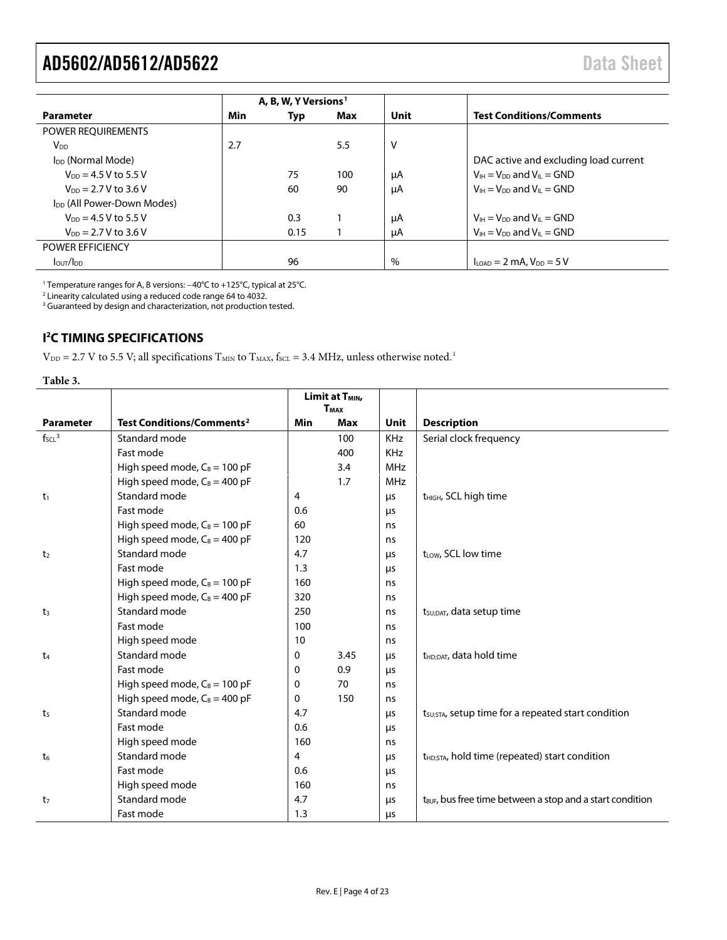<span id="page-3-1"></span>

|                                        | A, B, W, Y Versions <sup>1</sup> |      |     |      |                                                                  |
|----------------------------------------|----------------------------------|------|-----|------|------------------------------------------------------------------|
| <b>Parameter</b>                       | Min                              | Typ  | Max | Unit | <b>Test Conditions/Comments</b>                                  |
| POWER REQUIREMENTS                     |                                  |      |     |      |                                                                  |
| <b>V</b> <sub>DD</sub>                 | 2.7                              |      | 5.5 | v    |                                                                  |
| I <sub>DD</sub> (Normal Mode)          |                                  |      |     |      | DAC active and excluding load current                            |
| $V_{DD} = 4.5 V$ to 5.5 V              |                                  | 75   | 100 | μA   | $V_{IH} = V_{DD}$ and $V_{IL} = GND$                             |
| $V_{DD} = 2.7 V$ to 3.6 V              |                                  | 60   | 90  | μA   | $V_{1H} = V_{DD}$ and $V_{II} = GND$                             |
| I <sub>DD</sub> (All Power-Down Modes) |                                  |      |     |      |                                                                  |
| $V_{DD} = 4.5 V$ to 5.5 V              |                                  | 0.3  |     | μA   | $V_{H} = V_{DD}$ and $V_{H} = GND$                               |
| $V_{DD} = 2.7 V$ to 3.6 V              |                                  | 0.15 |     | μA   | $V_{IH} = V_{DD}$ and $V_{IL} = GND$                             |
| <b>POWER EFFICIENCY</b>                |                                  |      |     |      |                                                                  |
| I <sub>OUT</sub> /I <sub>DD</sub>      |                                  | 96   |     | %    | $I_{\text{LOAD}} = 2 \text{ mA}$ , $V_{\text{DD}} = 5 \text{ V}$ |

<sup>1</sup> Temperature ranges for A, B versions: −40°C to +125°C, typical at 25°C.

 $2$  Linearity calculated using a reduced code range 64 to 4032.

<sup>3</sup> Guaranteed by design and characterization, not production tested.

#### <span id="page-3-0"></span>**I 2 C TIMING SPECIFICATIONS**

 $V_{DD}$  = 2.7 V to 5.5 V; all specifications  $T_{MIN}$  to  $T_{MAX}$ ,  $f_{SCL}$  = 3.4 MHz, unless otherwise note[d.](#page-4-1)<sup>1</sup>

| Table 3.           |                                             |                                                        |            |            |                                                                       |  |
|--------------------|---------------------------------------------|--------------------------------------------------------|------------|------------|-----------------------------------------------------------------------|--|
|                    |                                             | Limit at T <sub>MIN</sub> ,<br><b>T</b> <sub>MAX</sub> |            |            |                                                                       |  |
| <b>Parameter</b>   | <b>Test Conditions/Comments<sup>2</sup></b> | <b>Min</b>                                             | <b>Max</b> | Unit       | <b>Description</b>                                                    |  |
| $f_{\text{SCL}}^3$ | Standard mode                               |                                                        | 100        | KHz        | Serial clock frequency                                                |  |
|                    | Fast mode                                   |                                                        | 400        | <b>KHz</b> |                                                                       |  |
|                    | High speed mode, $C_B = 100$ pF             |                                                        | 3.4        | <b>MHz</b> |                                                                       |  |
|                    | High speed mode, $C_B = 400$ pF             |                                                        | 1.7        | <b>MHz</b> |                                                                       |  |
| t <sub>1</sub>     | Standard mode                               | 4                                                      |            | μs         | t <sub>HIGH</sub> , SCL high time                                     |  |
|                    | Fast mode                                   | 0.6                                                    |            | μs         |                                                                       |  |
|                    | High speed mode, $C_B = 100$ pF             | 60                                                     |            | ns         |                                                                       |  |
|                    | High speed mode, $C_B = 400$ pF             | 120                                                    |            | ns         |                                                                       |  |
| t <sub>2</sub>     | Standard mode                               | 4.7                                                    |            | μs         | t <sub>LOW</sub> , SCL low time                                       |  |
|                    | Fast mode                                   | 1.3                                                    |            | μs         |                                                                       |  |
|                    | High speed mode, $C_B = 100$ pF             | 160                                                    |            | ns         |                                                                       |  |
|                    | High speed mode, $C_B = 400$ pF             | 320                                                    |            | ns         |                                                                       |  |
| $t_3$              | Standard mode                               | 250                                                    |            | ns         | t <sub>SU;DAT</sub> , data setup time                                 |  |
|                    | Fast mode                                   | 100                                                    |            | ns         |                                                                       |  |
|                    | High speed mode                             | 10                                                     |            | ns         |                                                                       |  |
| t <sub>4</sub>     | Standard mode                               | 0                                                      | 3.45       | μs         | t <sub>HD:DAT</sub> , data hold time                                  |  |
|                    | Fast mode                                   | 0                                                      | 0.9        | μs         |                                                                       |  |
|                    | High speed mode, $C_B = 100$ pF             | 0                                                      | 70         | ns         |                                                                       |  |
|                    | High speed mode, $C_B = 400$ pF             | 0                                                      | 150        | ns         |                                                                       |  |
| t <sub>5</sub>     | Standard mode                               | 4.7                                                    |            | μs         | t <sub>SU;</sub> STA, setup time for a repeated start condition       |  |
|                    | Fast mode                                   | 0.6                                                    |            | μs         |                                                                       |  |
|                    | High speed mode                             | 160                                                    |            | ns         |                                                                       |  |
| t <sub>6</sub>     | Standard mode                               | 4                                                      |            | μs         | t <sub>HD;STA</sub> , hold time (repeated) start condition            |  |
|                    | Fast mode                                   | 0.6                                                    |            | μs         |                                                                       |  |
|                    | High speed mode                             | 160                                                    |            | ns         |                                                                       |  |
| t <sub>7</sub>     | Standard mode                               | 4.7                                                    |            | μs         | t <sub>BUF</sub> , bus free time between a stop and a start condition |  |
|                    | Fast mode                                   | 1.3                                                    |            | μs         |                                                                       |  |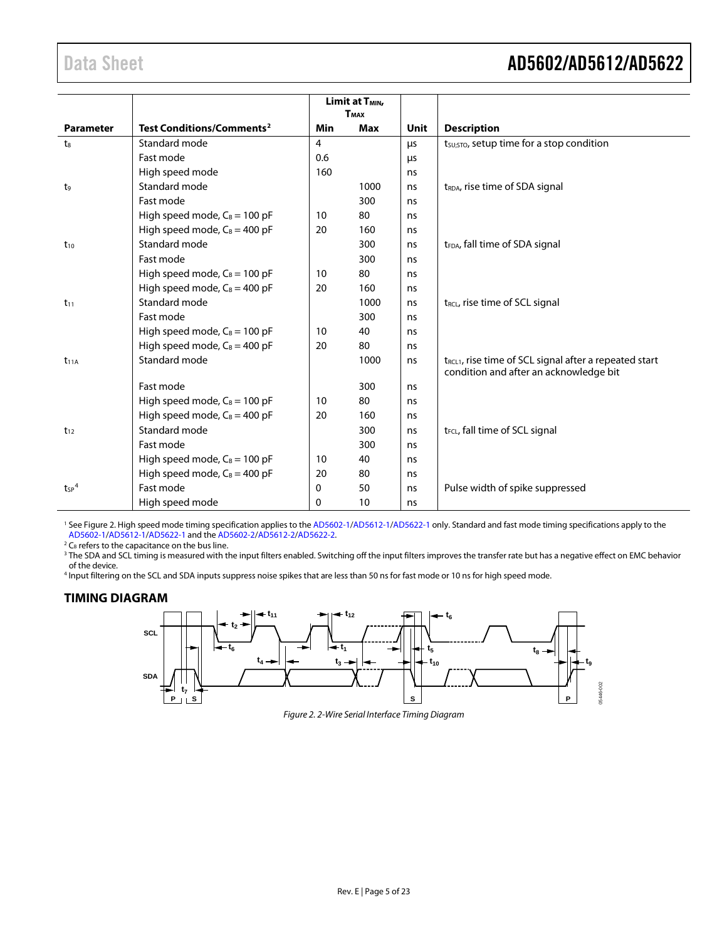<span id="page-4-1"></span>

|                       |                                       |            | Limit at T <sub>MIN</sub> ,<br><b>T</b> <sub>MAX</sub> |             |                                                                                                              |
|-----------------------|---------------------------------------|------------|--------------------------------------------------------|-------------|--------------------------------------------------------------------------------------------------------------|
| <b>Parameter</b>      | Test Conditions/Comments <sup>2</sup> | <b>Min</b> | <b>Max</b>                                             | <b>Unit</b> | <b>Description</b>                                                                                           |
| $t_8$                 | Standard mode                         | 4          |                                                        | μs          | t <sub>su;</sub> sto, setup time for a stop condition                                                        |
|                       | Fast mode                             | 0.6        |                                                        | μs          |                                                                                                              |
|                       | High speed mode                       | 160        |                                                        | ns          |                                                                                                              |
| t <sub>9</sub>        | Standard mode                         |            | 1000                                                   | ns          | t <sub>RDA</sub> , rise time of SDA signal                                                                   |
|                       | Fast mode                             |            | 300                                                    | ns          |                                                                                                              |
|                       | High speed mode, $C_B = 100$ pF       | 10         | 80                                                     | ns          |                                                                                                              |
|                       | High speed mode, $C_B = 400$ pF       | 20         | 160                                                    | ns          |                                                                                                              |
| $t_{10}$              | Standard mode                         |            | 300                                                    | ns          | t <sub>FDA</sub> , fall time of SDA signal                                                                   |
|                       | Fast mode                             |            | 300                                                    | ns          |                                                                                                              |
|                       | High speed mode, $C_B = 100$ pF       | 10         | 80                                                     | ns          |                                                                                                              |
|                       | High speed mode, $C_B = 400$ pF       | 20         | 160                                                    | ns          |                                                                                                              |
| $t_{11}$              | Standard mode                         |            | 1000                                                   | ns          | t <sub>RCL</sub> , rise time of SCL signal                                                                   |
|                       | Fast mode                             |            | 300                                                    | ns          |                                                                                                              |
|                       | High speed mode, $C_B = 100$ pF       | 10         | 40                                                     | ns          |                                                                                                              |
|                       | High speed mode, $C_B = 400$ pF       | 20         | 80                                                     | ns          |                                                                                                              |
| $t_{11A}$             | Standard mode                         |            | 1000                                                   | ns          | t <sub>RCL1</sub> , rise time of SCL signal after a repeated start<br>condition and after an acknowledge bit |
|                       | Fast mode                             |            | 300                                                    | ns          |                                                                                                              |
|                       | High speed mode, $C_B = 100$ pF       | 10         | 80                                                     | ns          |                                                                                                              |
|                       | High speed mode, $C_B = 400$ pF       | 20         | 160                                                    | ns          |                                                                                                              |
| $t_{12}$              | Standard mode                         |            | 300                                                    | ns          | t <sub>FCL</sub> , fall time of SCL signal                                                                   |
|                       | Fast mode                             |            | 300                                                    | ns          |                                                                                                              |
|                       | High speed mode, $C_B = 100$ pF       | 10         | 40                                                     | ns          |                                                                                                              |
|                       | High speed mode, $C_B = 400$ pF       | 20         | 80                                                     | ns          |                                                                                                              |
| $t_{SP}$ <sup>4</sup> | Fast mode                             | 0          | 50                                                     | ns          | Pulse width of spike suppressed                                                                              |
|                       | High speed mode                       | 0          | 10                                                     | ns          |                                                                                                              |

<sup>1</sup> Se[e Figure 2.](#page-4-2) High speed mode timing specification applies to th[e AD5602-1](http://www.analog.com/ad5602?doc=AD5602_5612_5622.pdf)[/AD5612-1](http://www.analog.com/ad5612?doc=AD5602_5612_5622.pdf)[/AD5622-1](http://www.analog.com/ad5622?doc=AD5602_5612_5622.pdf) only. Standard and fast mode timing specifications apply to the [AD5602-1](http://www.analog.com/ad5602?doc=AD5602_5612_5622.pdf)[/AD5612-1](http://www.analog.com/ad5612?doc=AD5602_5612_5622.pdf)[/AD5622-1](http://www.analog.com/ad5622?doc=AD5602_5612_5622.pdf) and the [AD5602-2](http://www.analog.com/ad5602?doc=AD5602_5612_5622.pdf)[/AD5612-2/](http://www.analog.com/ad5612?doc=AD5602_5612_5622.pdf)[AD5622-2.](http://www.analog.com/ad5622?doc=AD5602_5612_5622.pdf)

 $2 C_B$  refers to the capacitance on the bus line.

<sup>3</sup> The SDA and SCL timing is measured with the input filters enabled. Switching off the input filters improves the transfer rate but has a negative effect on EMC behavior of the device.

<sup>4</sup> Input filtering on the SCL and SDA inputs suppress noise spikes that are less than 50 ns for fast mode or 10 ns for high speed mode.

#### <span id="page-4-2"></span><span id="page-4-0"></span>**TIMING DIAGRAM**



*Figure 2. 2-Wire Serial Interface Timing Diagram*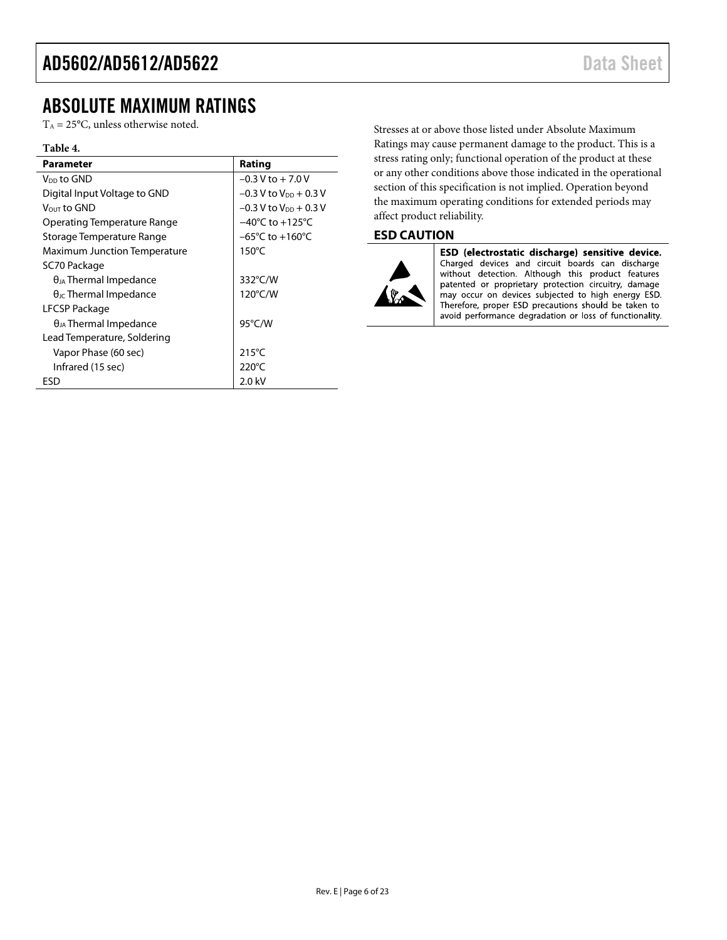### <span id="page-5-0"></span>ABSOLUTE MAXIMUM RATINGS

 $T_A = 25$ °C, unless otherwise noted.

#### **Table 4.**

| Parameter                              | Rating                              |
|----------------------------------------|-------------------------------------|
| V <sub>DD</sub> to GND                 | $-0.3$ V to $+7.0$ V                |
| Digital Input Voltage to GND           | $-0.3$ V to $V_{DD}$ + 0.3 V        |
| Vout to GND                            | $-0.3$ V to V <sub>DD</sub> + 0.3 V |
| Operating Temperature Range            | $-40^{\circ}$ C to $+125^{\circ}$ C |
| Storage Temperature Range              | $-65^{\circ}$ C to $+160^{\circ}$ C |
| <b>Maximum Junction Temperature</b>    | $150^{\circ}$ C                     |
| SC70 Package                           |                                     |
| $\theta_{JA}$ Thermal Impedance        | 332°C/W                             |
| $\theta_{\text{JC}}$ Thermal Impedance | $120^{\circ}$ C/W                   |
| LFCSP Package                          |                                     |
| $\theta_{JA}$ Thermal Impedance        | $95^{\circ}$ C/W                    |
| Lead Temperature, Soldering            |                                     |
| Vapor Phase (60 sec)                   | $215^{\circ}$ C                     |
| Infrared (15 sec)                      | 220 $\degree$ C                     |
| ESD                                    | 2.0 kV                              |

Stresses at or above those listed under Absolute Maximum Ratings may cause permanent damage to the product. This is a stress rating only; functional operation of the product at these or any other conditions above those indicated in the operational section of this specification is not implied. Operation beyond the maximum operating conditions for extended periods may affect product reliability.

#### <span id="page-5-1"></span>**ESD CAUTION**



ESD (electrostatic discharge) sensitive device. Charged devices and circuit boards can discharge<br>without detection. Although this product features patented or proprietary protection circuitry, damage may occur on devices subjected to high energy ESD. Therefore, proper ESD precautions should be taken to avoid performance degradation or loss of functionality.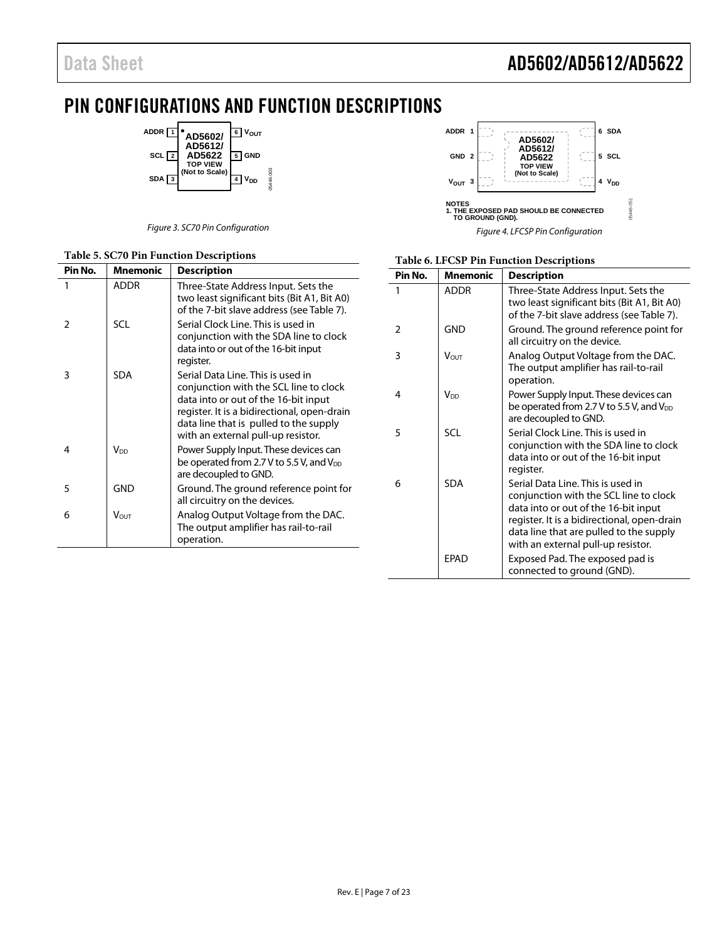## <span id="page-6-0"></span>PIN CONFIGURATIONS AND FUNCTION DESCRIPTIONS

05446-003

**ADDR 1 6**  $V_{OUT}$ **AD5602/ AD5612/ AD5622 TOP VIEW (Not to Scale) SCL 2 5 GND** 05446-003 **SDA 3 4 V**<sub>DD</sub>

|  |  |  | Figure 3. SC70 Pin Configuration |
|--|--|--|----------------------------------|
|--|--|--|----------------------------------|

#### **Table 5. SC70 Pin Function Descriptions**



| Table 6. LFCSP Pin Function Descriptions |  |  |  |  |
|------------------------------------------|--|--|--|--|
|------------------------------------------|--|--|--|--|

| Pin No.        | <b>Mnemonic</b>        | <b>Description</b>                                                                                                                                                                                                                                  |
|----------------|------------------------|-----------------------------------------------------------------------------------------------------------------------------------------------------------------------------------------------------------------------------------------------------|
|                | <b>ADDR</b>            | Three-State Address Input. Sets the<br>two least significant bits (Bit A1, Bit A0)<br>of the 7-bit slave address (see Table 7).                                                                                                                     |
| $\overline{2}$ | <b>GND</b>             | Ground. The ground reference point for<br>all circuitry on the device.                                                                                                                                                                              |
| 3              | V∩⊔⊤                   | Analog Output Voltage from the DAC.<br>The output amplifier has rail-to-rail<br>operation.                                                                                                                                                          |
| 4              | <b>V</b> <sub>DD</sub> | Power Supply Input. These devices can<br>be operated from 2.7 V to 5.5 V, and V <sub>DD</sub><br>are decoupled to GND.                                                                                                                              |
| 5              | <b>SCL</b>             | Serial Clock Line. This is used in<br>conjunction with the SDA line to clock<br>data into or out of the 16-bit input<br>register.                                                                                                                   |
| 6              | <b>SDA</b>             | Serial Data Line. This is used in<br>conjunction with the SCL line to clock<br>data into or out of the 16-bit input<br>register. It is a bidirectional, open-drain<br>data line that are pulled to the supply<br>with an external pull-up resistor. |
|                | <b>FPAD</b>            | Exposed Pad. The exposed pad is<br>connected to ground (GND).                                                                                                                                                                                       |

| Pin No. | <b>Mnemonic</b>        | <b>Description</b>                                                                                                                                                                                                                                 |
|---------|------------------------|----------------------------------------------------------------------------------------------------------------------------------------------------------------------------------------------------------------------------------------------------|
| 1       | <b>ADDR</b>            | Three-State Address Input. Sets the<br>two least significant bits (Bit A1, Bit A0)<br>of the 7-bit slave address (see Table 7).                                                                                                                    |
| 2       | <b>SCL</b>             | Serial Clock Line. This is used in<br>conjunction with the SDA line to clock<br>data into or out of the 16-bit input<br>register.                                                                                                                  |
| 3       | <b>SDA</b>             | Serial Data Line. This is used in<br>conjunction with the SCL line to clock<br>data into or out of the 16-bit input<br>register. It is a bidirectional, open-drain<br>data line that is pulled to the supply<br>with an external pull-up resistor. |
| 4       | <b>V</b> <sub>DD</sub> | Power Supply Input. These devices can<br>be operated from 2.7 V to 5.5 V, and $V_{DD}$<br>are decoupled to GND.                                                                                                                                    |
| 5       | GND                    | Ground. The ground reference point for<br>all circuitry on the devices.                                                                                                                                                                            |
| 6       | <b>VOUT</b>            | Analog Output Voltage from the DAC.<br>The output amplifier has rail-to-rail<br>operation.                                                                                                                                                         |
|         |                        |                                                                                                                                                                                                                                                    |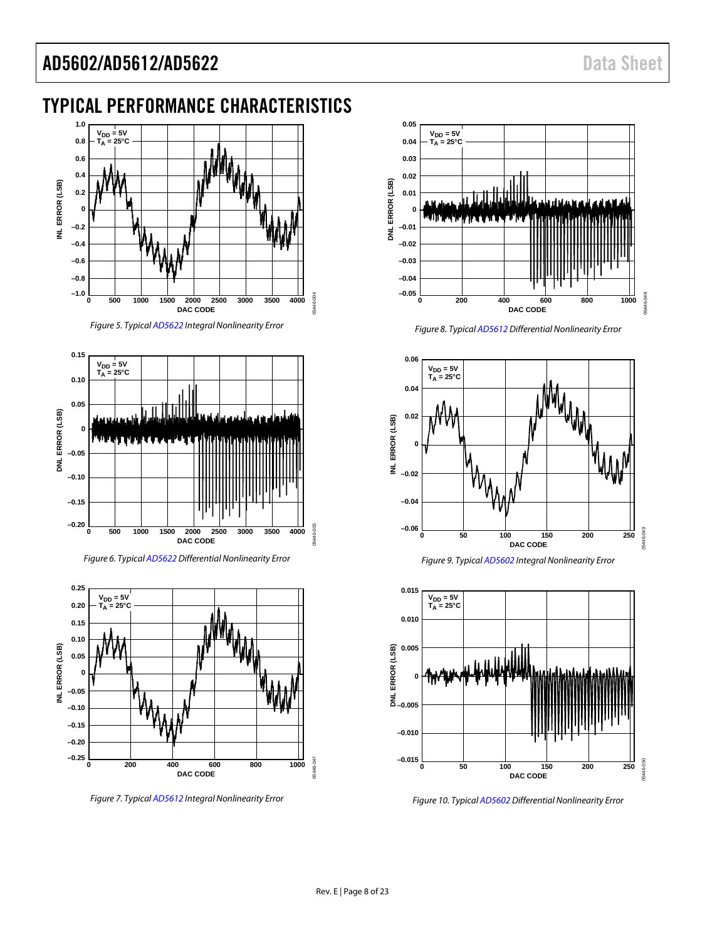# <span id="page-7-0"></span>TYPICAL PERFORMANCE CHARACTERISTICS



*Figure 5. Typica[l AD5622](http://www.analog.com/ad5622?doc=AD5602_5612_5622.pdf) Integral Nonlinearity Error*

<span id="page-7-1"></span>

*Figure 6. Typica[l AD5622](http://www.analog.com/ad5622?doc=AD5602_5612_5622.pdf) Differential Nonlinearity Error*

<span id="page-7-2"></span>

*Figure 7. Typica[l AD5612](http://www.analog.com/ad5612?doc=AD5602_5612_5622.pdf) Integral Nonlinearity Error*



*Figure 8. Typica[l AD5612](http://www.analog.com/ad5612?doc=AD5602_5612_5622.pdf) Differential Nonlinearity Error*







*Figure 10. Typica[l AD5602](http://www.analog.com/ad5602?doc=AD5602_5612_5622.pdf) Differential Nonlinearity Error*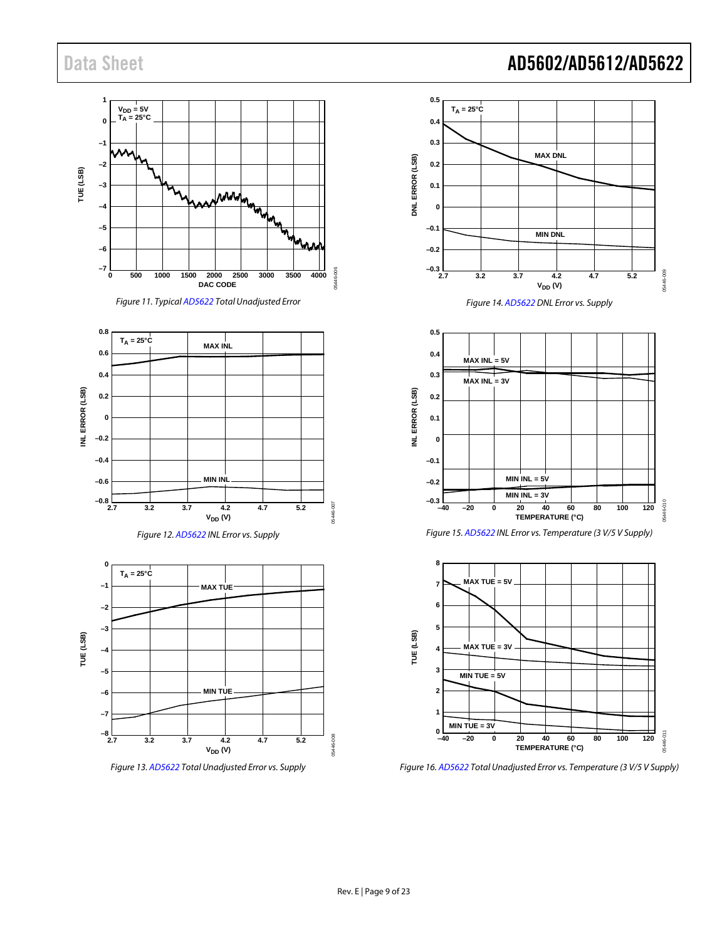



<span id="page-8-0"></span>





*Figure 13[. AD5622](http://www.analog.com/ad5622?doc=AD5602_5612_5622.pdf) Total Unadjusted Error vs. Supply*



*Figure 14[. AD5622](http://www.analog.com/ad5622?doc=AD5602_5612_5622.pdf) DNL Error vs. Supply*







*Figure 16[. AD5622](http://www.analog.com/ad5622?doc=AD5602_5612_5622.pdf) Total Unadjusted Error vs. Temperature (3 V/5 V Supply)*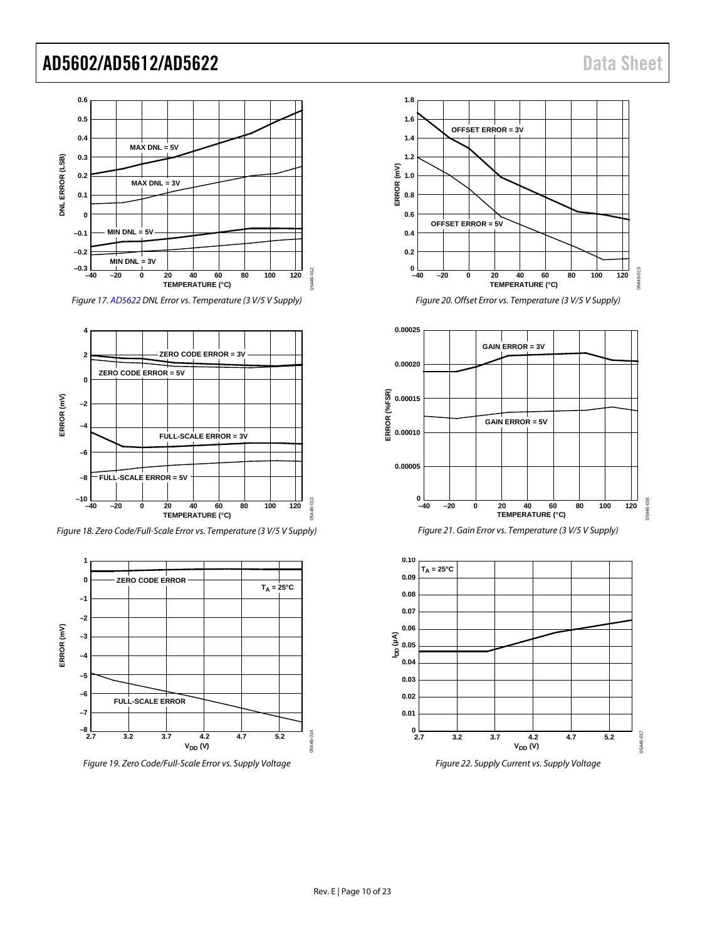

*Figure 17[. AD5622](http://www.analog.com/ad5622?doc=AD5602_5612_5622.pdf) DNL Error vs. Temperature (3 V/5 V Supply)*



<span id="page-9-0"></span>*Figure 18. Zero Code/Full-Scale Error vs. Temperature (3 V/5 V Supply)*



*Figure 19. Zero Code/Full-Scale Error vs. Supply Voltage*



*Figure 20. Offset Error vs. Temperature (3 V/5 V Supply)*







*Figure 22. Supply Current vs. Supply Voltage*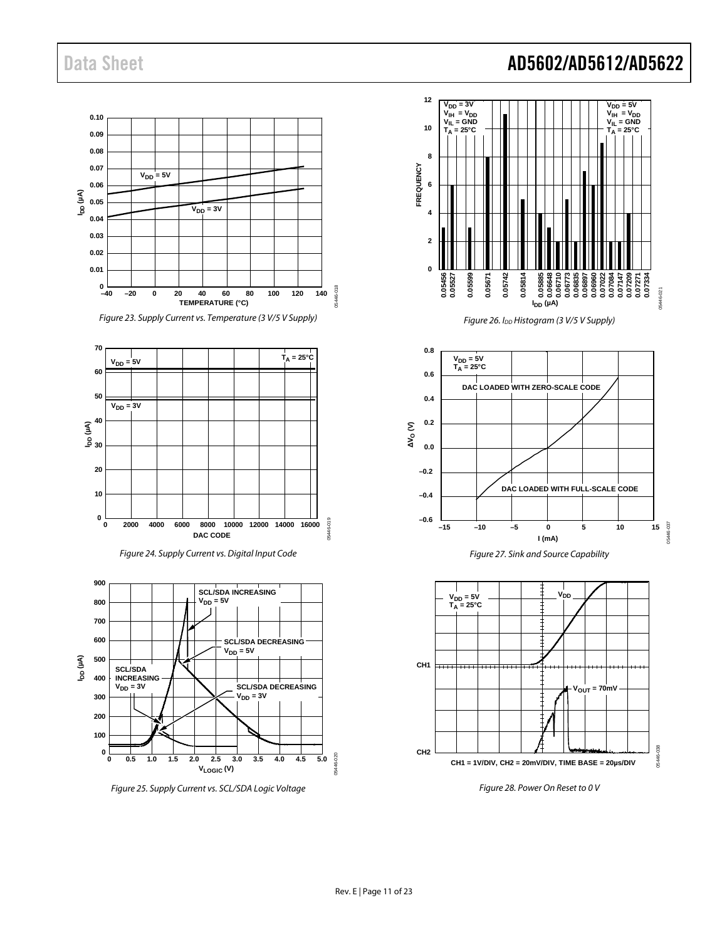

*Figure 23. Supply Current vs. Temperature (3 V/5 V Supply)*







*Figure 25. Supply Current vs. SCL/SDA Logic Voltage*



*Figure 26. IDD Histogram (3 V/5 V Supply)*



<span id="page-10-0"></span>

*Figure 28. Power On Reset to 0 V*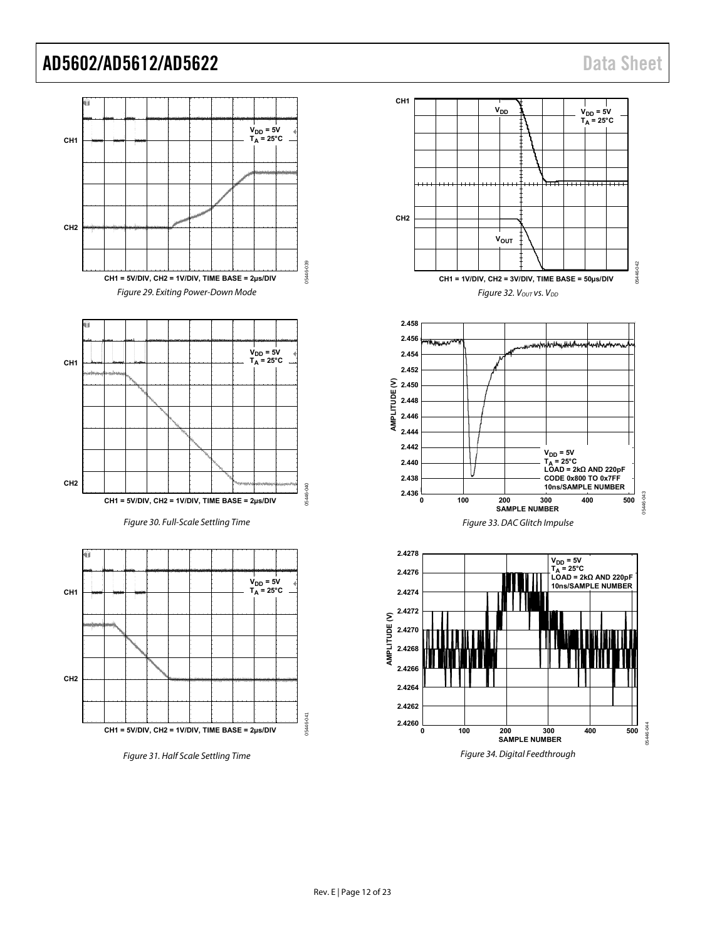<span id="page-11-2"></span>

<span id="page-11-1"></span><span id="page-11-0"></span>Figure 31. Half Scale Settling Time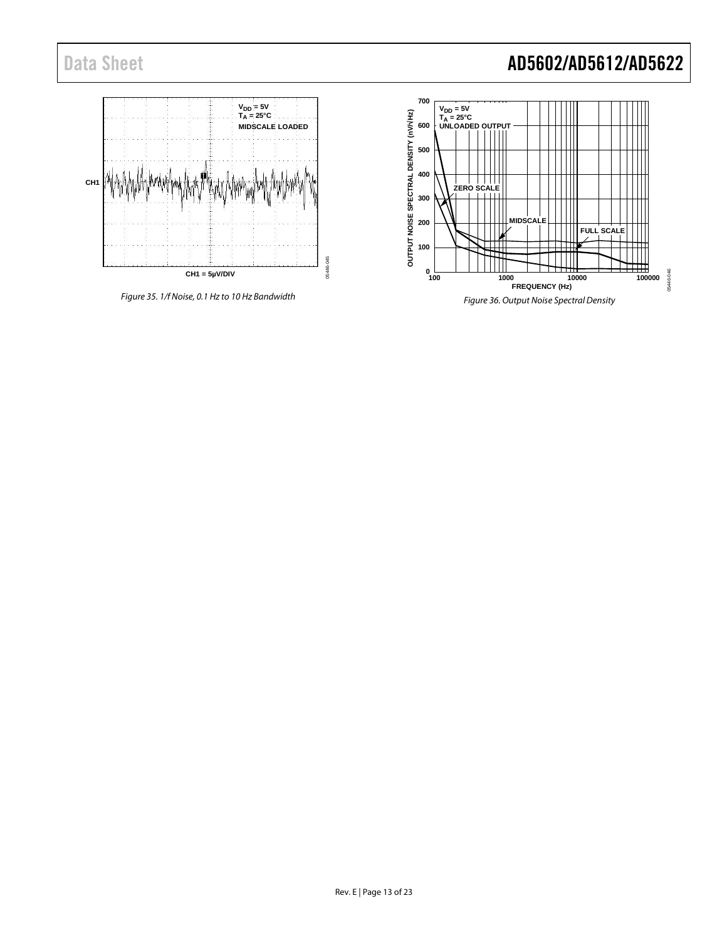

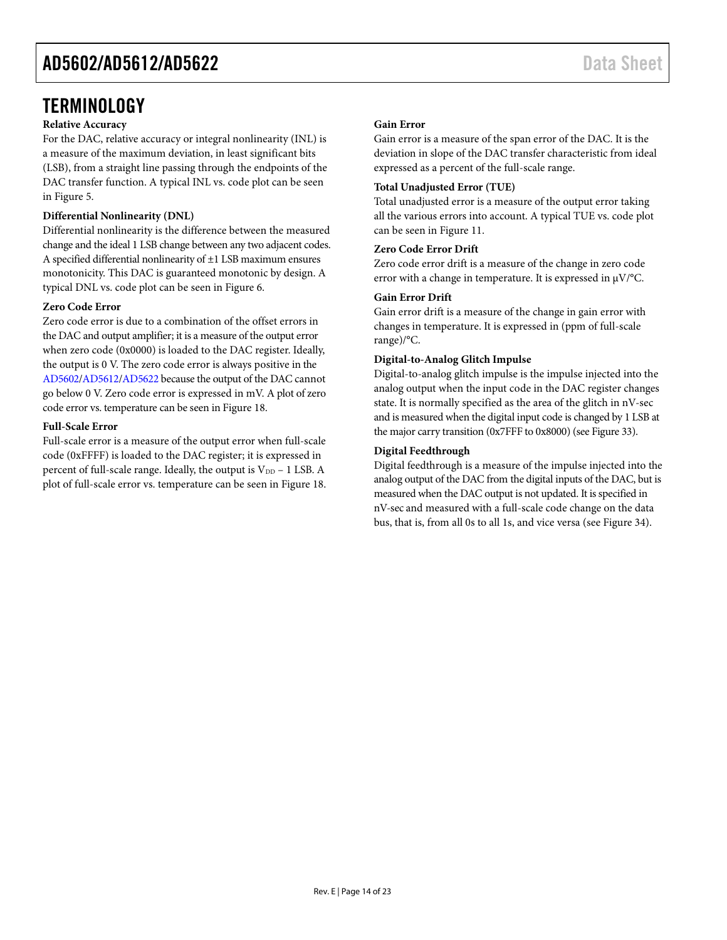### <span id="page-13-0"></span>**TERMINOLOGY**

#### **Relative Accuracy**

For the DAC, relative accuracy or integral nonlinearity (INL) is a measure of the maximum deviation, in least significant bits (LSB), from a straight line passing through the endpoints of the DAC transfer function. A typical INL vs. code plot can be seen in [Figure 5.](#page-7-1)

#### **Differential Nonlinearity (DNL)**

Differential nonlinearity is the difference between the measured change and the ideal 1 LSB change between any two adjacent codes. A specified differential nonlinearity of ±1 LSB maximum ensures monotonicity. This DAC is guaranteed monotonic by design. A typical DNL vs. code plot can be seen i[n Figure 6.](#page-7-2)

#### **Zero Code Error**

Zero code error is due to a combination of the offset errors in the DAC and output amplifier; it is a measure of the output error when zero code (0x0000) is loaded to the DAC register. Ideally, the output is 0 V. The zero code error is always positive in the [AD5602](http://www.analog.com/ad5602?doc=AD5602_5612_5622.pdf)[/AD5612](http://www.analog.com/ad5612?doc=AD5602_5612_5622.pdf)[/AD5622](http://www.analog.com/ad5622?doc=AD5602_5612_5622.pdf) because the output of the DAC cannot go below 0 V. Zero code error is expressed in mV. A plot of zero code error vs. temperature can be seen in [Figure 18.](#page-9-0)

#### **Full-Scale Error**

Full-scale error is a measure of the output error when full-scale code (0xFFFF) is loaded to the DAC register; it is expressed in percent of full-scale range. Ideally, the output is  $V_{DD}$  – 1 LSB. A plot of full-scale error vs. temperature can be seen in [Figure 18.](#page-9-0)

#### **Gain Error**

Gain error is a measure of the span error of the DAC. It is the deviation in slope of the DAC transfer characteristic from ideal expressed as a percent of the full-scale range.

#### **Total Unadjusted Error (TUE)**

Total unadjusted error is a measure of the output error taking all the various errors into account. A typical TUE vs. code plot can be seen in [Figure 11.](#page-8-0)

#### **Zero Code Error Drift**

Zero code error drift is a measure of the change in zero code error with a change in temperature. It is expressed in  $\mu$ V/°C.

#### **Gain Error Drift**

Gain error drift is a measure of the change in gain error with changes in temperature. It is expressed in (ppm of full-scale range)/°C.

#### **Digital-to-Analog Glitch Impulse**

Digital-to-analog glitch impulse is the impulse injected into the analog output when the input code in the DAC register changes state. It is normally specified as the area of the glitch in nV-sec and is measured when the digital input code is changed by 1 LSB at the major carry transition (0x7FFF to 0x8000) (se[e Figure 33\)](#page-11-0).

#### **Digital Feedthrough**

Digital feedthrough is a measure of the impulse injected into the analog output of the DAC from the digital inputs of the DAC, but is measured when the DAC output is not updated. It is specified in nV-sec and measured with a full-scale code change on the data bus, that is, from all 0s to all 1s, and vice versa (see [Figure 34\)](#page-11-1).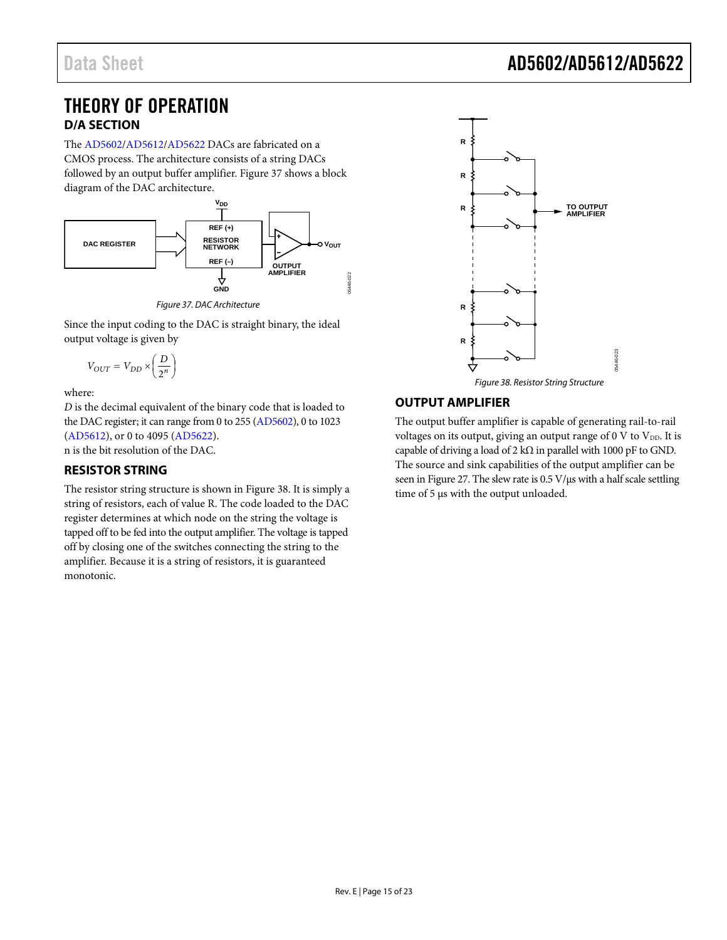### <span id="page-14-0"></span>THEORY OF OPERATION **D/A SECTION**

<span id="page-14-1"></span>The [AD5602](http://www.analog.com/ad5602?doc=AD5602_5612_5622.pdf)[/AD5612/](http://www.analog.com/ad5612?doc=AD5602_5612_5622.pdf)[AD5622](http://www.analog.com/ad5622?doc=AD5602_5612_5622.pdf) DACs are fabricated on a CMOS process. The architecture consists of a string DACs followed by an output buffer amplifier. [Figure 37](#page-14-4) shows a block diagram of the DAC architecture.



*Figure 37. DAC Architecture*

<span id="page-14-4"></span>Since the input coding to the DAC is straight binary, the ideal output voltage is given by

$$
V_{OUT} = V_{DD} \times \left(\frac{D}{2^n}\right)
$$

where:

*D* is the decimal equivalent of the binary code that is loaded to the DAC register; it can range from 0 to 255 [\(AD5602\)](http://www.analog.com/ad5602?doc=AD5602_5612_5622.pdf), 0 to 1023 [\(AD5612\)](http://www.analog.com/ad5612?doc=AD5602_5612_5622.pdf), or 0 to 4095 [\(AD5622\)](http://www.analog.com/ad5622?doc=AD5602_5612_5622.pdf).

n is the bit resolution of the DAC.

### <span id="page-14-2"></span>**RESISTOR STRING**

The resistor string structure is shown in [Figure 38.](#page-14-5) It is simply a string of resistors, each of value R. The code loaded to the DAC register determines at which node on the string the voltage is tapped off to be fed into the output amplifier. The voltage is tapped off by closing one of the switches connecting the string to the amplifier. Because it is a string of resistors, it is guaranteed monotonic.



### <span id="page-14-5"></span><span id="page-14-3"></span>**OUTPUT AMPLIFIER**

The output buffer amplifier is capable of generating rail-to-rail voltages on its output, giving an output range of 0 V to  $V_{DD}$ . It is capable of driving a load of 2 k $\Omega$  in parallel with 1000 pF to GND. The source and sink capabilities of the output amplifier can be seen i[n Figure 27.](#page-10-0) The slew rate is  $0.5 \text{ V/}\mu\text{s}$  with a half scale settling time of 5 µs with the output unloaded.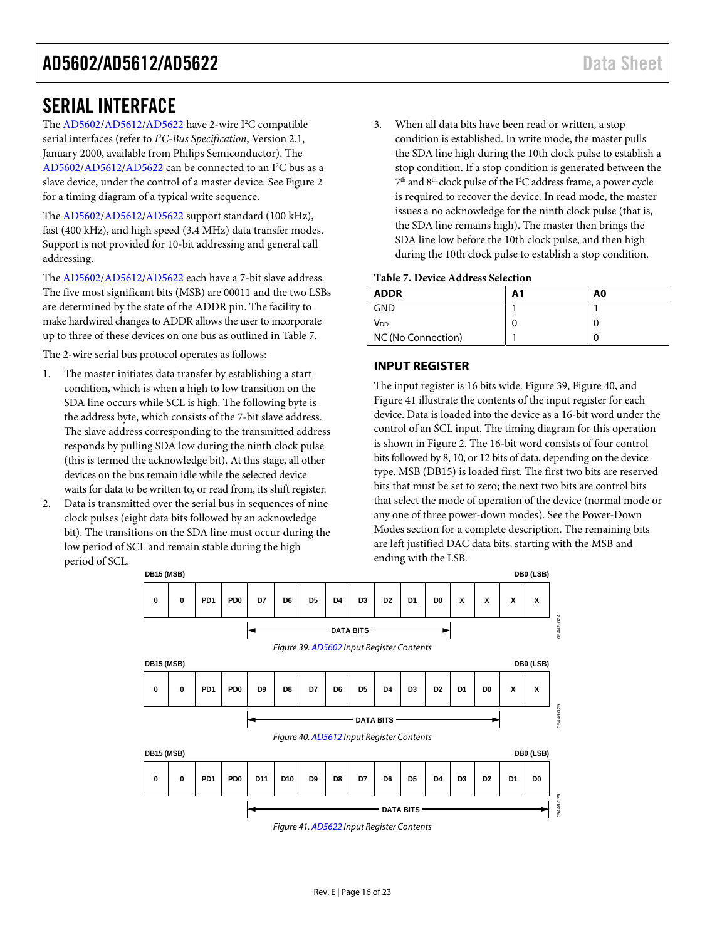### <span id="page-15-0"></span>SERIAL INTERFACE

The [AD5602/](http://www.analog.com/ad5602?doc=AD5602_5612_5622.pdf)[AD5612/](http://www.analog.com/ad5612?doc=AD5602_5612_5622.pdf)[AD5622 h](http://www.analog.com/ad5622?doc=AD5602_5612_5622.pdf)ave 2-wire I<sup>2</sup>C compatible serial interfaces (refer to *I2 C-Bus Specification*, Version 2.1, January 2000, available from Philips Semiconductor). The [AD5602/](http://www.analog.com/ad5602?doc=AD5602_5612_5622.pdf)[AD5612/](http://www.analog.com/ad5612?doc=AD5602_5612_5622.pdf)[AD5622 c](http://www.analog.com/ad5622?doc=AD5602_5612_5622.pdf)an be connected to an I<sup>2</sup>C bus as a slave device, under the control of a master device. Se[e Figure 2](#page-4-2)  for a timing diagram of a typical write sequence.

The [AD5602/](http://www.analog.com/ad5602?doc=AD5602_5612_5622.pdf)[AD5612/](http://www.analog.com/ad5612?doc=AD5602_5612_5622.pdf)[AD5622 s](http://www.analog.com/ad5622?doc=AD5602_5612_5622.pdf)upport standard (100 kHz), fast (400 kHz), and high speed (3.4 MHz) data transfer modes. Support is not provided for 10-bit addressing and general call addressing.

The [AD5602/](http://www.analog.com/ad5602?doc=AD5602_5612_5622.pdf)[AD5612/](http://www.analog.com/ad5612?doc=AD5602_5612_5622.pdf)[AD5622 e](http://www.analog.com/ad5622?doc=AD5602_5612_5622.pdf)ach have a 7-bit slave address. The five most significant bits (MSB) are 00011 and the two LSBs are determined by the state of the ADDR pin. The facility to make hardwired changes to ADDR allows the user to incorporate up to three of these devices on one bus as outlined in [Table 7.](#page-15-2)

The 2-wire serial bus protocol operates as follows:

- 1. The master initiates data transfer by establishing a start condition, which is when a high to low transition on the SDA line occurs while SCL is high. The following byte is the address byte, which consists of the 7-bit slave address. The slave address corresponding to the transmitted address responds by pulling SDA low during the ninth clock pulse (this is termed the acknowledge bit). At this stage, all other devices on the bus remain idle while the selected device waits for data to be written to, or read from, its shift register.
- 2. Data is transmitted over the serial bus in sequences of nine clock pulses (eight data bits followed by an acknowledge bit). The transitions on the SDA line must occur during the low period of SCL and remain stable during the high period of SCL.

3. When all data bits have been read or written, a stop condition is established. In write mode, the master pulls the SDA line high during the 10th clock pulse to establish a stop condition. If a stop condition is generated between the  $7<sup>th</sup>$  and  $8<sup>th</sup>$  clock pulse of the I<sup>2</sup>C address frame, a power cycle is required to recover the device. In read mode, the master issues a no acknowledge for the ninth clock pulse (that is, the SDA line remains high). The master then brings the SDA line low before the 10th clock pulse, and then high during the 10th clock pulse to establish a stop condition.

#### <span id="page-15-2"></span>**Table 7. Device Address Selection**

| ------<br>-------- |    |    |  |  |
|--------------------|----|----|--|--|
| <b>ADDR</b>        | Α1 | A0 |  |  |
| <b>GND</b>         |    |    |  |  |
| V <sub>DD</sub>    | 0  | 0  |  |  |
| NC (No Connection) |    |    |  |  |

#### <span id="page-15-1"></span>**INPUT REGISTER**

The input register is 16 bits wide[. Figure 39,](#page-15-3) [Figure 40,](#page-15-4) and [Figure 41 i](#page-15-5)llustrate the contents of the input register for each device. Data is loaded into the device as a 16-bit word under the control of an SCL input. The timing diagram for this operation is shown in [Figure 2.](#page-4-2) The 16-bit word consists of four control bits followed by 8, 10, or 12 bits of data, depending on the device type. MSB (DB15) is loaded first. The first two bits are reserved bits that must be set to zero; the next two bits are control bits that select the mode of operation of the device (normal mode or any one of three power-down modes). See th[e Power-Down](#page-16-1)  [Modes s](#page-16-1)ection for a complete description. The remaining bits are left justified DAC data bits, starting with the MSB and ending with the LSB.

<span id="page-15-4"></span><span id="page-15-3"></span>

<span id="page-15-5"></span>Figure 41[. AD5622 I](http://www.analog.com/ad5622?doc=AD5602_5612_5622.pdf)nput Register Contents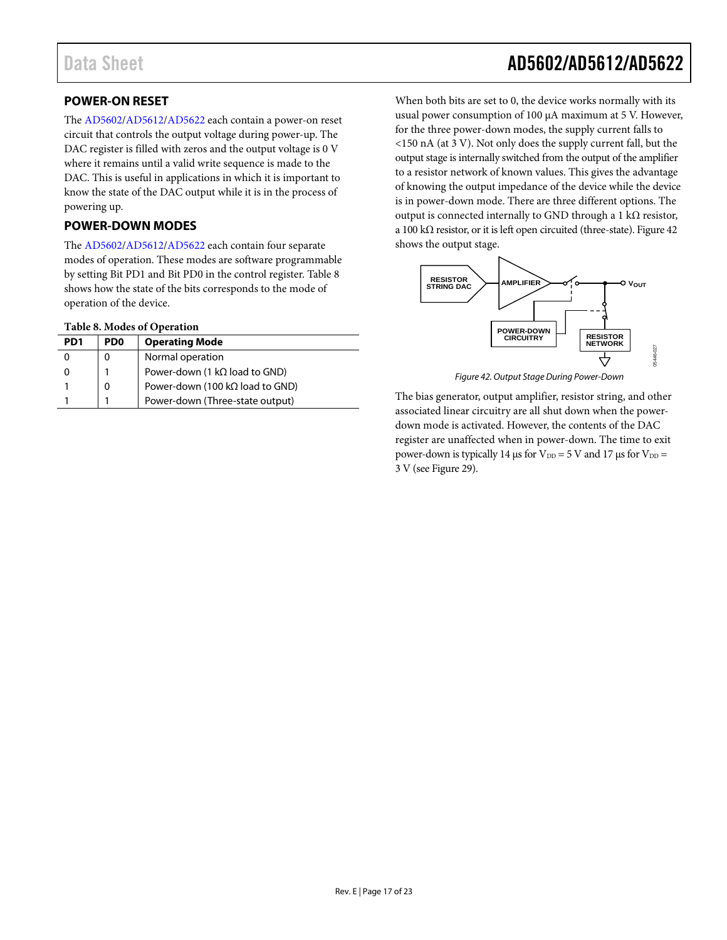### <span id="page-16-0"></span>**POWER-ON RESET**

The [AD5602](http://www.analog.com/ad5602?doc=AD5602_5612_5622.pdf)[/AD5612/](http://www.analog.com/ad5612?doc=AD5602_5612_5622.pdf)[AD5622](http://www.analog.com/ad5622?doc=AD5602_5612_5622.pdf) each contain a power-on reset circuit that controls the output voltage during power-up. The DAC register is filled with zeros and the output voltage is 0 V where it remains until a valid write sequence is made to the DAC. This is useful in applications in which it is important to know the state of the DAC output while it is in the process of powering up.

#### <span id="page-16-1"></span>**POWER-DOWN MODES**

The [AD5602](http://www.analog.com/ad5602?doc=AD5602_5612_5622.pdf)[/AD5612/](http://www.analog.com/ad5612?doc=AD5602_5612_5622.pdf)[AD5622](http://www.analog.com/ad5622?doc=AD5602_5612_5622.pdf) each contain four separate modes of operation. These modes are software programmable by setting Bit PD1 and Bit PD0 in the control register. [Table 8](#page-16-2) shows how the state of the bits corresponds to the mode of operation of the device.

#### <span id="page-16-2"></span>**Table 8. Modes of Operation**

| PD <sub>1</sub> | PD <sub>0</sub> | <b>Operating Mode</b>                   |
|-----------------|-----------------|-----------------------------------------|
|                 |                 | Normal operation                        |
|                 |                 | Power-down (1 $k\Omega$ load to GND)    |
|                 |                 | Power-down (100 k $\Omega$ load to GND) |
|                 |                 | Power-down (Three-state output)         |

# Data Sheet **AD5602/AD5612/AD5622**

When both bits are set to 0, the device works normally with its usual power consumption of 100 µA maximum at 5 V. However, for the three power-down modes, the supply current falls to <150 nA (at 3 V). Not only does the supply current fall, but the output stage is internally switched from the output of the amplifier to a resistor network of known values. This gives the advantage of knowing the output impedance of the device while the device is in power-down mode. There are three different options. The output is connected internally to GND through a 1 k $\Omega$  resistor, a 100 kΩ resistor, or it is left open circuited (three-state)[. Figure 42](#page-16-3) shows the output stage.



*Figure 42. Output Stage During Power-Down*

<span id="page-16-3"></span>The bias generator, output amplifier, resistor string, and other associated linear circuitry are all shut down when the powerdown mode is activated. However, the contents of the DAC register are unaffected when in power-down. The time to exit power-down is typically 14  $\mu$ s for V<sub>DD</sub> = 5 V and 17  $\mu$ s for V<sub>DD</sub> = 3 V (see [Figure 29\)](#page-11-2).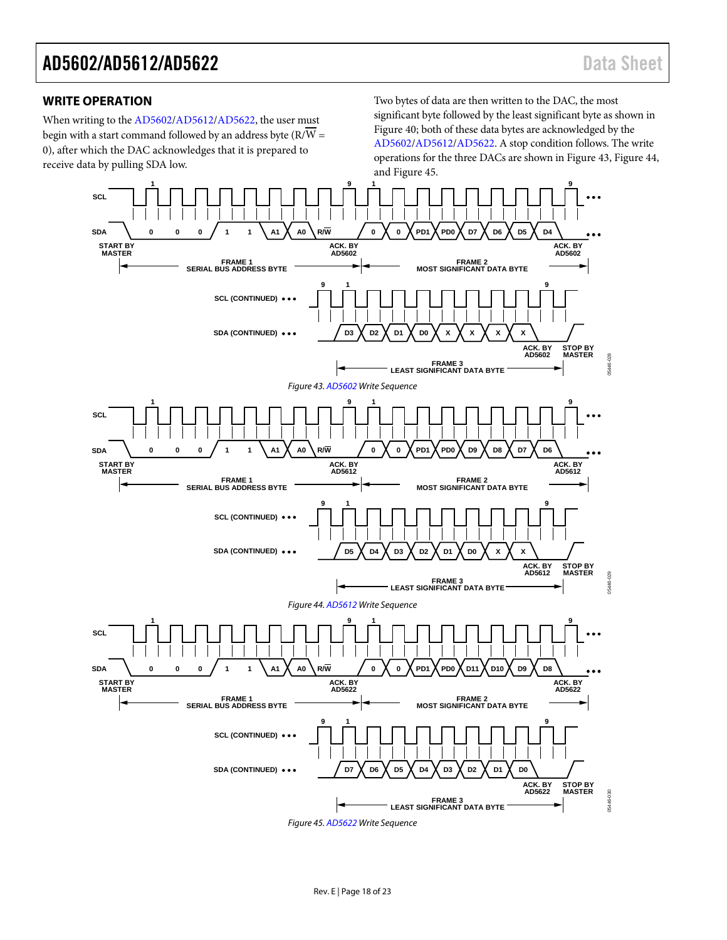#### <span id="page-17-0"></span>**WRITE OPERATION**

When writing to the [AD5602](http://www.analog.com/ad5602?doc=AD5602_5612_5622.pdf)[/AD5612](http://www.analog.com/ad5612?doc=AD5602_5612_5622.pdf)[/AD5622,](http://www.analog.com/ad5622?doc=AD5602_5612_5622.pdf) the user must begin with a start command followed by an address byte (R/W = 0), after which the DAC acknowledges that it is prepared to receive data by pulling SDA low.

Two bytes of data are then written to the DAC, the most significant byte followed by the least significant byte as shown in [Figure 40;](#page-15-4) both of these data bytes are acknowledged by the [AD5602/](http://www.analog.com/ad5602?doc=AD5602_5612_5622.pdf)[AD5612/](http://www.analog.com/ad5612?doc=AD5602_5612_5622.pdf)[AD5622.](http://www.analog.com/ad5622?doc=AD5602_5612_5622.pdf) A stop condition follows. The write operations for the three DACs are shown in [Figure 43,](#page-17-1) [Figure 44,](#page-17-2) an[d Figure 45.](#page-17-3)

<span id="page-17-3"></span><span id="page-17-2"></span><span id="page-17-1"></span>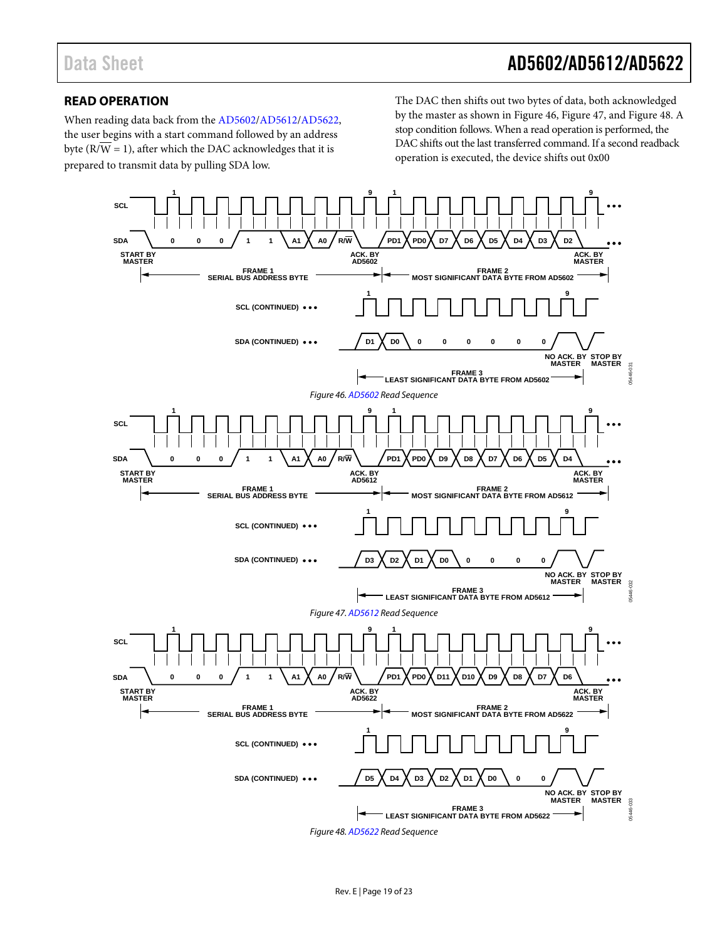### <span id="page-18-0"></span>**READ OPERATION**

When reading data back from the [AD5602](http://www.analog.com/ad5602?doc=AD5602_5612_5622.pdf)[/AD5612](http://www.analog.com/ad5612?doc=AD5602_5612_5622.pdf)[/AD5622,](http://www.analog.com/ad5622?doc=AD5602_5612_5622.pdf) the user begins with a start command followed by an address byte ( $\overline{R/W} = 1$ ), after which the DAC acknowledges that it is prepared to transmit data by pulling SDA low.

The DAC then shifts out two bytes of data, both acknowledged by the master as shown in [Figure 46,](#page-18-1) [Figure 47,](#page-18-2) an[d Figure 48.](#page-18-3) A stop condition follows. When a read operation is performed, the DAC shifts out the last transferred command. If a second readback operation is executed, the device shifts out 0x00

<span id="page-18-3"></span><span id="page-18-2"></span><span id="page-18-1"></span>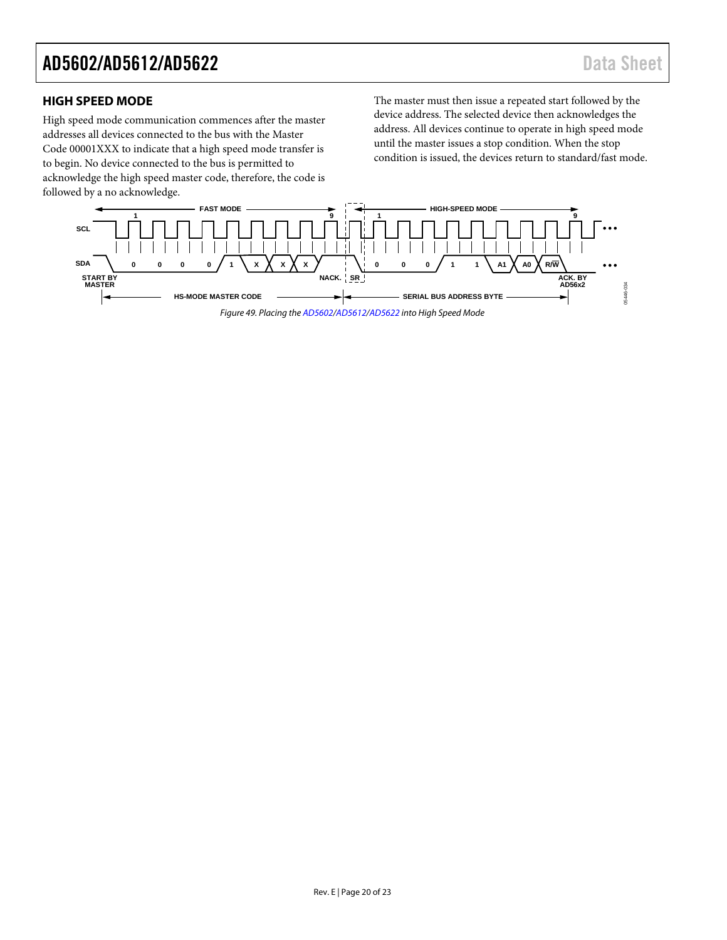#### <span id="page-19-0"></span>**HIGH SPEED MODE**

High speed mode communication commences after the master addresses all devices connected to the bus with the Master Code 00001XXX to indicate that a high speed mode transfer is to begin. No device connected to the bus is permitted to acknowledge the high speed master code, therefore, the code is followed by a no acknowledge.

The master must then issue a repeated start followed by the device address. The selected device then acknowledges the address. All devices continue to operate in high speed mode until the master issues a stop condition. When the stop condition is issued, the devices return to standard/fast mode.

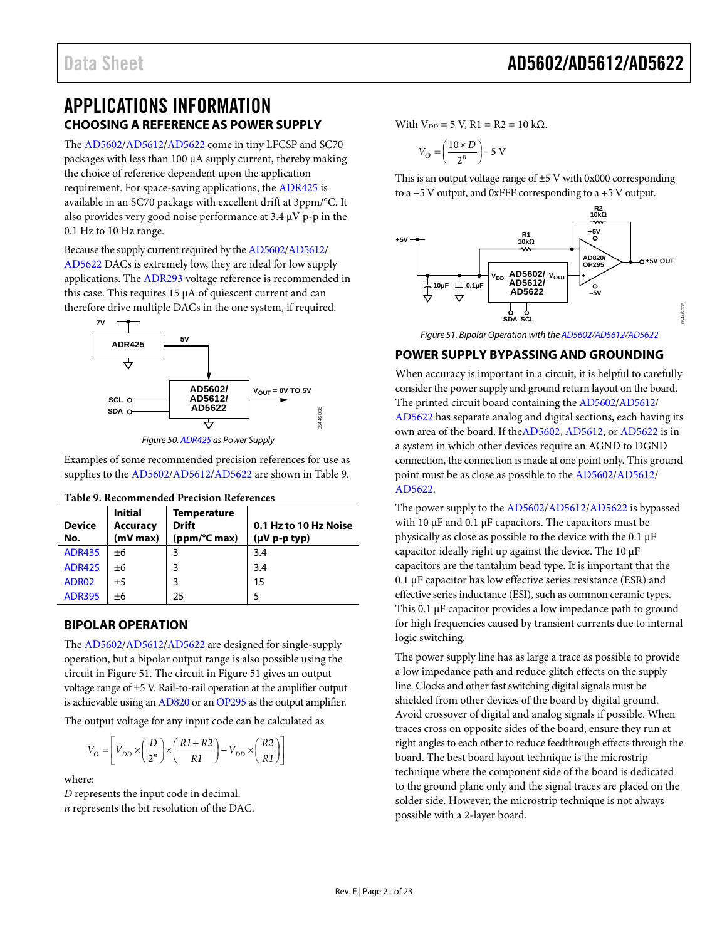### <span id="page-20-0"></span>APPLICATIONS INFORMATION **CHOOSING A REFERENCE AS POWER SUPPLY**

<span id="page-20-1"></span>The [AD5602](http://www.analog.com/ad5602?doc=AD5602_5612_5622.pdf)[/AD5612/](http://www.analog.com/ad5612?doc=AD5602_5612_5622.pdf)[AD5622](http://www.analog.com/ad5622?doc=AD5602_5612_5622.pdf) come in tiny LFCSP and SC70 packages with less than 100 µA supply current, thereby making the choice of reference dependent upon the application requirement. For space-saving applications, the [ADR425](http://www.analog.com/adr425?doc=AD5602_5612_5622.pdf) is available in an SC70 package with excellent drift at 3ppm/°C. It also provides very good noise performance at 3.4 µV p-p in the 0.1 Hz to 10 Hz range.

Because the supply current required by th[e AD5602/](http://www.analog.com/ad5602?doc=AD5602_5612_5622.pdf)[AD5612/](http://www.analog.com/ad5612?doc=AD5602_5612_5622.pdf) [AD5622](http://www.analog.com/ad5622?doc=AD5602_5612_5622.pdf) DACs is extremely low, they are ideal for low supply applications. The [ADR293](http://www.analog.com/adr293?doc=AD5602_5612_5622.pdf) voltage reference is recommended in this case. This requires 15 µA of quiescent current and can therefore drive multiple DACs in the one system, if required.



*Figure 50[. ADR425](http://www.analog.com/adr425?doc=AD5602_5612_5622.pdf) as Power Supply*

Examples of some recommended precision references for use as supplies to the [AD5602](http://www.analog.com/ad5602?doc=AD5602_5612_5622.pdf)[/AD5612](http://www.analog.com/ad5612?doc=AD5602_5612_5622.pdf)[/AD5622](http://www.analog.com/ad5622?doc=AD5602_5612_5622.pdf) are shown in [Table 9.](#page-20-4)

| <b>Device</b><br>No. | <b>Initial</b><br><b>Accuracy</b><br>(mV max) | <b>Temperature</b><br><b>Drift</b><br>(ppm/°C max) | 0.1 Hz to 10 Hz Noise<br>$(\mu V p-p typ)$ |  |  |  |
|----------------------|-----------------------------------------------|----------------------------------------------------|--------------------------------------------|--|--|--|
| <b>ADR435</b>        | $+6$                                          | 3                                                  | 3.4                                        |  |  |  |
| <b>ADR425</b>        | ±6                                            | 3                                                  | 3.4                                        |  |  |  |
| ADR02                | ±5                                            | 3                                                  | 15                                         |  |  |  |
| <b>ADR395</b>        | ±6                                            | 25                                                 |                                            |  |  |  |

<span id="page-20-4"></span>**Table 9. Recommended Precision References**

#### <span id="page-20-2"></span>**BIPOLAR OPERATION**

The [AD5602](http://www.analog.com/ad5602?doc=AD5602_5612_5622.pdf)[/AD5612/](http://www.analog.com/ad5612?doc=AD5602_5612_5622.pdf)[AD5622](http://www.analog.com/ad5622?doc=AD5602_5612_5622.pdf) are designed for single-supply operation, but a bipolar output range is also possible using the circuit i[n Figure 51.](#page-20-5) The circuit in [Figure 51](#page-20-5) gives an output voltage range of ±5 V. Rail-to-rail operation at the amplifier output is achievable using a[n AD820](http://www.analog.com/ad820?doc=AD5602_5612_5622.pdf) or a[n OP295](http://www.analog.com/op295?doc=AD5602_5612_5622.pdf) as the output amplifier.

The output voltage for any input code can be calculated as

$$
V_O = \left[ V_{DD} \times \left( \frac{D}{2^n} \right) \times \left( \frac{R1 + R2}{R1} \right) - V_{DD} \times \left( \frac{R2}{R1} \right) \right]
$$

where:

*D* represents the input code in decimal. *n* represents the bit resolution of the DAC. With  $V_{DD} = 5 V$ , R1 = R2 = 10 kΩ.

$$
V_O = \left(\frac{10 \times D}{2^n}\right) - 5 \text{ V}
$$

This is an output voltage range of  $\pm$ 5 V with 0x000 corresponding to a −5 V output, and 0xFFF corresponding to a +5 V output.



*Figure 51. Bipolar Operation with th[e AD5602/](http://www.analog.com/ad5602?doc=AD5602_5612_5622.pdf)[AD5612/](http://www.analog.com/ad5612?doc=AD5602_5612_5622.pdf)[AD5622](http://www.analog.com/ad5622?doc=AD5602_5612_5622.pdf)*

#### <span id="page-20-5"></span><span id="page-20-3"></span>**POWER SUPPLY BYPASSING AND GROUNDING**

When accuracy is important in a circuit, it is helpful to carefully consider the power supply and ground return layout on the board. The printed circuit board containing the [AD5602](http://www.analog.com/ad5602?doc=AD5602_5612_5622.pdf)[/AD5612/](http://www.analog.com/ad5612?doc=AD5602_5612_5622.pdf) [AD5622](http://www.analog.com/ad5622?doc=AD5602_5612_5622.pdf) has separate analog and digital sections, each having its own area of the board. If th[eAD5602,](http://www.analog.com/ad5602?doc=AD5602_5612_5622.pdf) [AD5612,](http://www.analog.com/ad5612?doc=AD5602_5612_5622.pdf) o[r AD5622](http://www.analog.com/ad5622?doc=AD5602_5612_5622.pdf) is in a system in which other devices require an AGND to DGND connection, the connection is made at one point only. This ground point must be as close as possible to the [AD5602/](http://www.analog.com/ad5602?doc=AD5602_5612_5622.pdf)[AD5612/](http://www.analog.com/ad5612?doc=AD5602_5612_5622.pdf) [AD5622.](http://www.analog.com/ad5622?doc=AD5602_5612_5622.pdf)

The power supply to the [AD5602/](http://www.analog.com/ad5602?doc=AD5602_5612_5622.pdf)[AD5612/](http://www.analog.com/ad5612?doc=AD5602_5612_5622.pdf)[AD5622](http://www.analog.com/ad5622?doc=AD5602_5612_5622.pdf) is bypassed with 10 µF and 0.1 µF capacitors. The capacitors must be physically as close as possible to the device with the 0.1 µF capacitor ideally right up against the device. The 10 µF capacitors are the tantalum bead type. It is important that the 0.1 µF capacitor has low effective series resistance (ESR) and effective series inductance (ESI), such as common ceramic types. This 0.1 µF capacitor provides a low impedance path to ground for high frequencies caused by transient currents due to internal logic switching.

The power supply line has as large a trace as possible to provide a low impedance path and reduce glitch effects on the supply line. Clocks and other fast switching digital signals must be shielded from other devices of the board by digital ground. Avoid crossover of digital and analog signals if possible. When traces cross on opposite sides of the board, ensure they run at right angles to each other to reduce feedthrough effects through the board. The best board layout technique is the microstrip technique where the component side of the board is dedicated to the ground plane only and the signal traces are placed on the solder side. However, the microstrip technique is not always possible with a 2-layer board.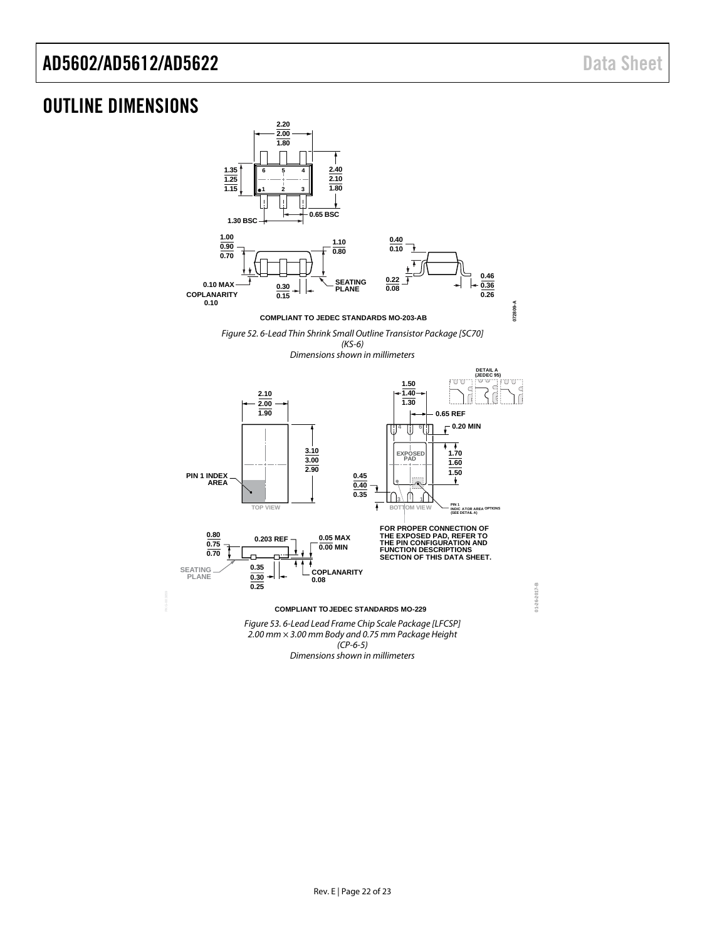**01-26-2017-B**

 $01 - 26 - 2017 - B$ 

### <span id="page-21-0"></span>OUTLINE DIMENSIONS